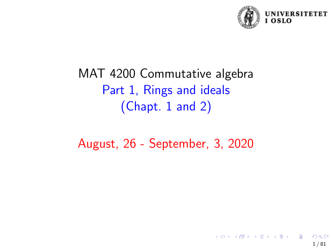

# MAT 4200 Commutative algebra Part 1, Rings and ideals (Chapt. 1 and 2)

August, 26 - September, 3, 2020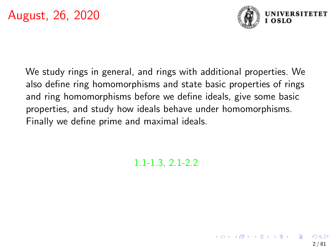

2 / 81

We study rings in general, and rings with additional properties. We also define ring homomorphisms and state basic properties of rings and ring homomorphisms before we define ideals, give some basic properties, and study how ideals behave under homomorphisms. Finally we define prime and maximal ideals.

1.1-1.3, 2.1-2.2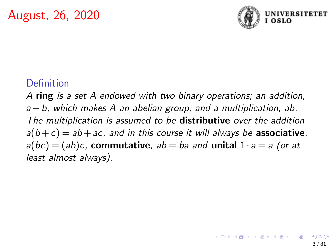

## Definition

A ring is a set A endowed with two binary operations; an addition,  $a+b$ , which makes A an abelian group, and a multiplication, ab. The multiplication is assumed to be **distributive** over the addition  $a(b+c) = ab + ac$ , and in this course it will always be associative,  $a(bc)=(ab)c$ , commutative,  $ab=ba$  and unital  $1 \cdot a=a$  (or at least almost always).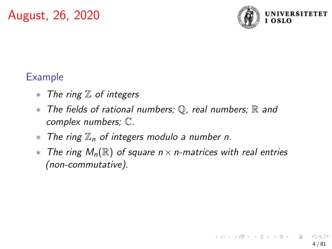

## Example

- ∗ The ring Z of integers
- ∗ The fields of rational numbers; Q, real numbers; R and complex numbers; C.
- $*$  The ring  $\mathbb{Z}_n$  of integers modulo a number n.
- $*$  The ring  $M_n(\mathbb{R})$  of square  $n \times n$ -matrices with real entries (non-commutative).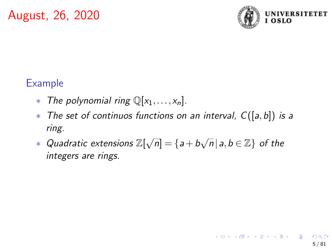

## Example

- ∗ The polynomial ring  $\mathbb{Q}[x_1,...,x_n]$ .
- $*$  The set of continuos functions on an interval,  $C([a, b])$  is a ring.
- ∗ Quadratic extensions  $\mathbb{Z}[\sqrt{n}] = \{a + b\sqrt{n} \, | \, a,b \in \mathbb{Z}\}$  of the integers are rings.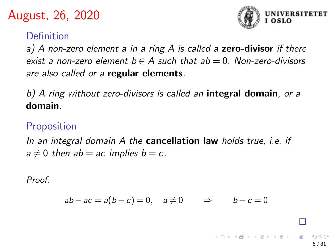

#### Definition

a) A non-zero element a in a ring A is called a **zero-divisor** if there exist a non-zero element  $b \in A$  such that  $ab = 0$ . Non-zero-divisors are also called or a regular elements.

b) A ring without zero-divisors is called an integral domain, or a domain.

#### Proposition

In an integral domain A the **cancellation law** holds true, *i.e.* if  $a \neq 0$  then ab = ac implies b = c.

Proof.

$$
ab - ac = a(b - c) = 0, \quad a \neq 0 \qquad \Rightarrow \qquad b - c = 0
$$

6 / 81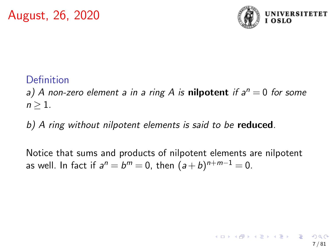

## Definition

a) A non-zero element a in a ring A is nilpotent if  $a^n = 0$  for some  $n > 1$ .

b) A ring without nilpotent elements is said to be reduced.

Notice that sums and products of nilpotent elements are nilpotent as well. In fact if  $a^n=b^m=0$ , then  $(a+b)^{n+m-1}=0$ .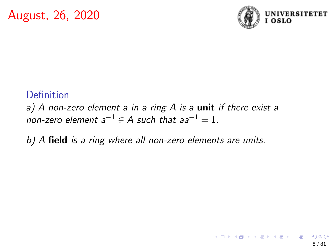

#### Definition

a) A non-zero element a in a ring  $A$  is a unit if there exist a non-zero element  $a^{-1} \in A$  such that  $aa^{-1} = 1$ .

b) A field is a ring where all non-zero elements are units.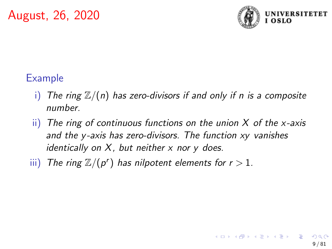

## Example

- i) The ring  $\mathbb{Z}/(n)$  has zero-divisors if and only if n is a composite number.
- $\overline{ii}$ ) The ring of continuous functions on the union X of the x-axis and the y-axis has zero-divisors. The function xy vanishes identically on  $X$ , but neither  $x$  nor  $y$  does.
- iii) The ring  $\mathbb{Z}/(p^r)$  has nilpotent elements for  $r > 1$ .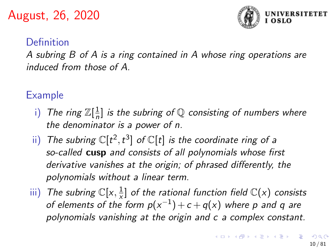

#### Definition

A subring B of A is a ring contained in A whose ring operations are induced from those of A.

Example

- i) The ring  $\mathbb{Z}[\frac{1}{n}]$  $\frac{1}{n}$ ] is the subring of  $\mathbb Q$  consisting of numbers where the denominator is a power of n.
- ii) The subring  $\mathbb{C}[t^2, t^3]$  of  $\mathbb{C}[t]$  is the coordinate ring of a so-called cusp and consists of all polynomials whose first derivative vanishes at the origin; of phrased differently, the polynomials without a linear term.
- iii) The subring  $\mathbb{C}[x, \frac{1}{x}]$  $\frac{1}{x}$ ] of the rational function field  $\mathbb{C}(x)$  consists of elements of the form  $p(x^{-1}) + c + q(x)$  where p and q are polynomials vanishing at the origin and c a complex constant.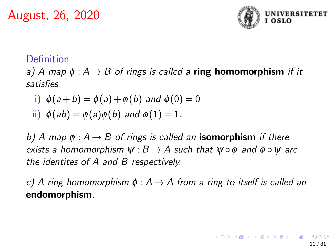

#### Definition

a) A map  $\phi : A \rightarrow B$  of rings is called a **ring homomorphism** if it satisfies

i) 
$$
\phi(a+b) = \phi(a) + \phi(b)
$$
 and  $\phi(0) = 0$ 

ii) 
$$
\phi(ab) = \phi(a)\phi(b)
$$
 and  $\phi(1) = 1$ .

b) A map  $\phi : A \rightarrow B$  of rings is called an **isomorphism** if there exists a homomorphism  $\psi : B \to A$  such that  $\psi \circ \phi$  and  $\phi \circ \psi$  are the identites of A and B respectively.

c) A ring homomorphism  $\phi : A \rightarrow A$  from a ring to itself is called an endomorphism.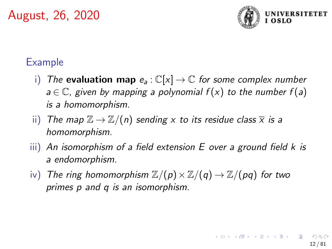

#### Example

- i) The **evaluation map**  $e_a : \mathbb{C}[x] \to \mathbb{C}$  for some complex number  $a \in \mathbb{C}$ , given by mapping a polynomial  $f(x)$  to the number  $f(a)$ is a homomorphism.
- ii) The map  $\mathbb{Z} \to \mathbb{Z}/(n)$  sending x to its residue class  $\overline{x}$  is a homomorphism.
- $\overline{iii}$ ) An isomorphism of a field extension E over a ground field k is a endomorphism.
- iv) The ring homomorphism  $\mathbb{Z}/(p) \times \mathbb{Z}/(q) \rightarrow \mathbb{Z}/(pq)$  for two primes p and q is an isomorphism.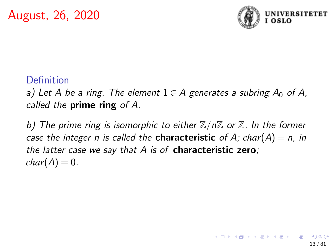

#### Definition

a) Let A be a ring. The element  $1 \in A$  generates a subring  $A_0$  of A, called the **prime ring** of A.

b) The prime ring is isomorphic to either  $\mathbb{Z}/n\mathbb{Z}$  or  $\mathbb{Z}$ . In the former case the integer n is called the **characteristic** of A;  $char(A) = n$ , in the latter case we say that  $A$  is of characteristic zero;  $char(A) = 0.$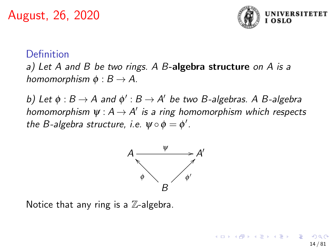

#### Definition

a) Let A and B be two rings. A B-algebra structure on A is a homomorphism  $\phi : B \to A$ .

b) Let  $\phi : B \to A$  and  $\phi' : B \to A'$  be two B-algebras. A B-algebra homomorphism  $\psi: A \to A'$  is a ring homomorphism which respects the B-algebra structure, i.e.  $\psi \circ \phi = \phi'$ .



Notice that any ring is a  $\mathbb{Z}$ -algebra.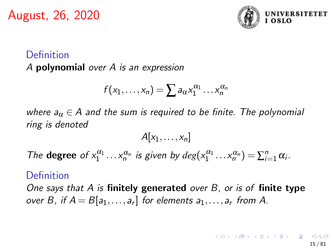

## Definition A polynomial over A is an expression

$$
f(x_1,\ldots,x_n)=\sum a_{\alpha}x_1^{\alpha_1}\ldots x_n^{\alpha_n}
$$

where  $a_{\alpha} \in A$  and the sum is required to be finite. The polynomial ring is denoted

$$
A[x_1,\ldots,x_n]
$$

The **degree** of  $x_1^{\alpha_1} \dots x_n^{\alpha_n}$  is given by  $deg(x_1^{\alpha_1} \dots x_n^{\alpha_n}) = \sum_{i=1}^n \alpha_i$ .

#### Definition

One says that A is finitely generated over B, or is of finite type over B, if  $A = B[a_1, \ldots, a_r]$  for elements  $a_1, \ldots, a_r$  from A.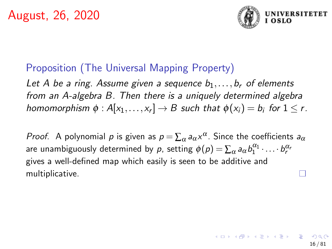

## Proposition (The Universal Mapping Property)

Let A be a ring. Assume given a sequence  $b_1, \ldots, b_r$  of elements from an A-algebra B. Then there is a uniquely determined algebra homomorphism  $\phi: A[x_1,\ldots,x_r] \to B$  such that  $\phi(x_i) = b_i$  for  $1 \leq r$ .

*Proof.* A polynomial  $p$  is given as  $p = \sum_{\alpha} a_{\alpha} x^{\alpha}$ . Since the coefficients  $a_{\alpha}$ are unambiguously determined by  $\rho$ , setting  $\phi(\rho)=\sum_{\alpha}a_{\alpha}b_1^{\alpha_1}\cdot\ldots\cdot b_r^{\alpha_r}$ gives a well-defined map which easily is seen to be additive and multiplicative. I.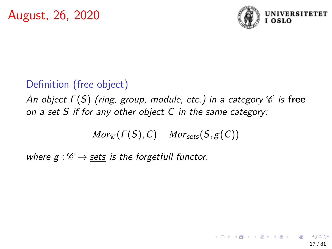

## Definition (free object)

An object  $F(S)$  (ring, group, module, etc.) in a category  $\mathscr C$  is free on a set S if for any other object  $C$  in the same category;

$$
Mor_{\mathscr{C}}(F(S), C) = Mor_{\underline{\mathsf{sets}}}(S, g(C))
$$

where  $g: \mathscr{C} \to \mathsf{sets}$  is the forgetfull functor.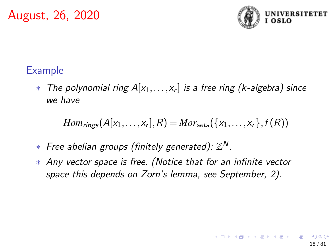

#### Example

 $*$  The polynomial ring  $A[x_1,\ldots,x_r]$  is a free ring (k-algebra) since we have

$$
Hom_{rings}(A[x_1,\ldots,x_r],R)=Mor_{\underline{\mathsf{sets}}}(\{x_1,\ldots,x_r\},f(R))
$$

- $*$  Free abelian groups (finitely generated):  $\mathbb{Z}^N$ .
- ∗ Any vector space is free. (Notice that for an infinite vector space this depends on Zorn's lemma, see September, 2).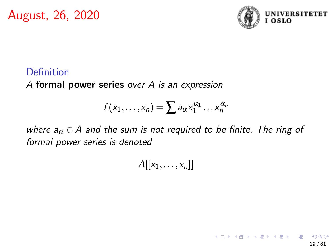

## Definition

A formal power series over A is an expression

$$
f(x_1,\ldots,x_n)=\sum a_{\alpha}x_1^{\alpha_1}\ldots x_n^{\alpha_n}
$$

where  $a_{\alpha} \in A$  and the sum is not required to be finite. The ring of formal power series is denoted

 $A[[x_1, \ldots, x_n]]$ 

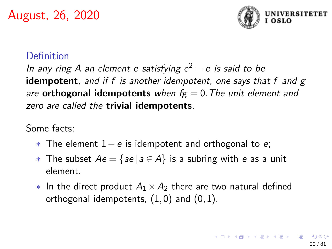

#### Definition

In any ring A an element e satisfying  $e^2=e$  is said to be **idempotent**, and if f is another idempotent, one says that f and  $g$ are **orthogonal idempotents** when  $fg = 0$ . The unit element and zero are called the **trivial idempotents**.

Some facts:

- $*$  The element  $1-e$  is idempotent and orthogonal to e;
- ∗ The subset  $Ae = \{ae | a \in A\}$  is a subring with e as a unit element.
- $*$  In the direct product  $A_1 \times A_2$  there are two natural defined orthogonal idempotents,  $(1,0)$  and  $(0,1)$ .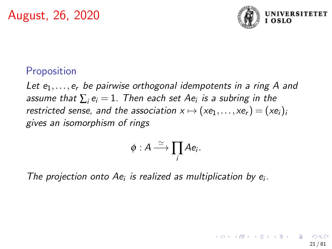

21 / 81

イロト 不優 トメ 差 トメ 差 トー 差

#### Proposition

Let  $e_1, \ldots, e_r$  be pairwise orthogonal idempotents in a ring A and assume that  $\sum_{i} \mathsf{e}_i = 1.$  Then each set  $A\mathsf{e}_i$  is a subring in the restricted sense, and the association  $x \mapsto (xe_1,...,xe_r) = (xe_i)_i$ gives an isomorphism of rings

$$
\phi: A \stackrel{\simeq}{\longrightarrow} \prod_i Ae_i.
$$

The projection onto  $Ae_i$  is realized as multiplication by  $e_i$ .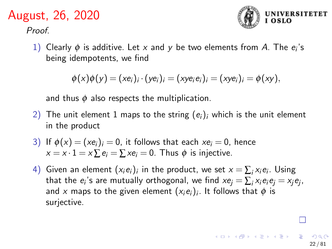Proof.



22 / 81

┌

1) Clearly  $\phi$  is additive. Let x and y be two elements from A. The  $e_i$ 's being idempotents, we find

 $\phi(x)\phi(y) = (xe_i)_i \cdot (ye_i)_i = (xye_ie_i)_i = (xye_i)_i = \phi(xy),$ 

and thus  $\phi$  also respects the multiplication.

- 2) The unit element 1 maps to the string  $(e_i)_i$  which is the unit element in the product
- 3) If  $\phi(x) = (xe_i)_i = 0$ , it follows that each  $xe_i = 0$ , hence  $x = x \cdot 1 = x \sum e_i = \sum x e_i = 0$ . Thus  $\phi$  is injective.
- 4) Given an element  $(x_i e_i)_i$  in the product, we set  $x = \sum_i x_i e_i$ . Using that the  $e_i$ 's are mutually orthogonal, we find  $x e_j = \sum_i x_i e_i e_j = x_j e_j$ , and  $x$  maps to the given element  $(x_i e_i)_i$ . It follows that  $\phi$  is surjective.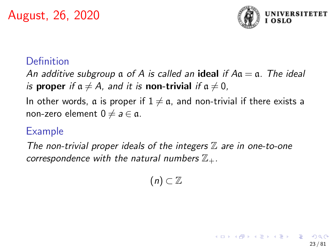

23 / 81

#### Definition

An additive subgroup  $\alpha$  of A is called an **ideal** if  $A\alpha = \alpha$ . The ideal is proper if  $a \neq A$ , and it is non-trivial if  $a \neq 0$ ,

In other words, a is proper if  $1 \neq a$ , and non-trivial if there exists a non-zero element  $0 \neq a \in \mathfrak{a}$ .

#### Example

The non-trivial proper ideals of the integers  $\mathbb Z$  are in one-to-one correspondence with the natural numbers  $\mathbb{Z}_+$ .

$$
(n)\subset\mathbb{Z}
$$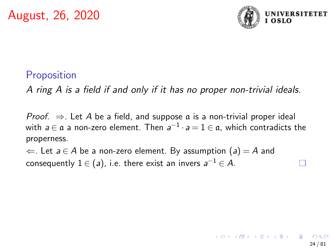

#### **Proposition**

A ring A is a field if and only if it has no proper non-trivial ideals.

*Proof.*  $\Rightarrow$  Let A be a field, and suppose  $\alpha$  is a non-trivial proper ideal with  $a \in \mathfrak{a}$  a non-zero element. Then  $a^{-1} \cdot a = 1 \in \mathfrak{a}$ , which contradicts the properness.

 $\Leftarrow$ . Let  $a \in A$  be a non-zero element. By assumption  $(a) = A$  and consequently  $1 \in (a)$ , i.e. there exist an invers  $a^{-1} \in A$ .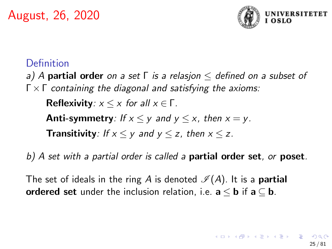

#### Definition

a) A **partial order** on a set  $\Gamma$  is a relasjon  $\leq$  defined on a subset of  $\Gamma \times \Gamma$  containing the diagonal and satisfying the axioms:

Reflexivity:  $x \leq x$  for all  $x \in \Gamma$ .

**Anti-symmetry**: If  $x \le y$  and  $y \le x$ , then  $x = y$ .

**Transitivity**: If  $x \le y$  and  $y \le z$ , then  $x \le z$ .

b) A set with a partial order is called a **partial order set**, or **poset**.

The set of ideals in the ring A is denoted  $\mathcal{I}(A)$ . It is a **partial** ordered set under the inclusion relation, i.e.  $a \le b$  if  $a \subseteq b$ .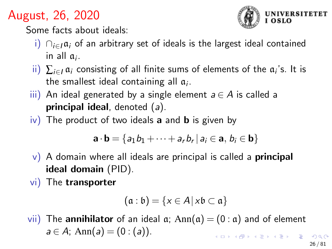

Some facts about ideals:

- i)  $\bigcap_{i\in I} \mathfrak{a}_i$  of an arbitrary set of ideals is the largest ideal contained in all  $a_i$ .
- ii)  $\sum_{i\in I}\mathfrak{a}_i$  consisting of all finite sums of elements of the  $\mathfrak{a}_i$ 's. It is the smallest ideal containing all  $a_i$ .
- $\overline{iii}$ ) An ideal generated by a single element  $a \in A$  is called a **principal ideal**, denoted  $(a)$ .
- $iv)$  The product of two ideals **a** and **b** is given by

$$
\mathbf{a} \cdot \mathbf{b} = \{a_1b_1 + \cdots + a_rb_r \, | \, a_i \in \mathbf{a}, \, b_i \in \mathbf{b}\}
$$

- $\mathbf{v}$ ) A domain where all ideals are principal is called a **principal** ideal domain (PID).
- vi) The transporter

$$
(\mathfrak{a} : \mathfrak{b}) = \{x \in A \, | \, x\mathfrak{b} \subset \mathfrak{a} \}
$$

vii) The **annihilator** of an ideal  $\alpha$ ; Ann( $\alpha$ ) = (0 :  $\alpha$ ) and of element  $a \in A$ ; Ann(a) = (0 : (a)).  $\mathbf{A} \equiv \mathbf{A} + \mathbf{A} + \mathbf{B} + \mathbf{A} + \mathbf{B} + \mathbf{A} + \mathbf{B} + \mathbf{A}$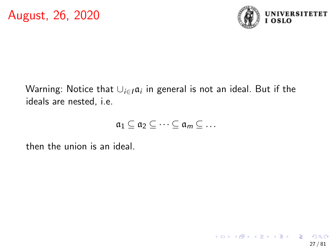

Warning: Notice that  $\cup_{i\in I} \mathfrak{a}_i$  in general is not an ideal. But if the ideals are nested, i.e.

$$
\mathfrak{a}_1 \subseteq \mathfrak{a}_2 \subseteq \cdots \subseteq \mathfrak{a}_m \subseteq \ldots
$$

then the union is an ideal.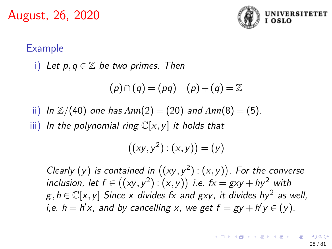

#### Example

i) Let 
$$
p, q \in \mathbb{Z}
$$
 be two primes. Then

$$
(p) \cap (q) = (pq) \quad (p) + (q) = \mathbb{Z}
$$

ii) In  $\mathbb{Z}/(40)$  one has  $Ann(2) = (20)$  and  $Ann(8) = (5)$ .

iii) In the polynomial ring  $\mathbb{C}[x,y]$  it holds that

$$
((xy,y^2):(x,y))=(y)
$$

Clearly (y) is contained in  $((xy, y^2) : (x, y))$ . For the converse inclusion, let  $f \in ((xy, y^2) : (x, y))$  i.e.  $fx = gxy + hy^2$  with  $g,h \in \mathbb{C}[x,y]$  Since x divides fx and gxy, it divides hy<sup>2</sup> as well, *i*,e.  $h = h'x$ , and by cancelling x, we get  $f = gy + h'y \in (y)$ .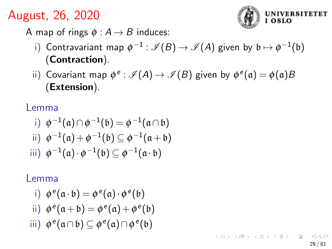

A map of rings  $\phi$  :  $A \rightarrow B$  induces:

- i) Contravariant map  $\phi^{-1}:\mathscr{I}(B) \rightarrow \mathscr{I}(A)$  given by  $\mathfrak{b} \mapsto \phi^{-1}(\mathfrak{b})$ (Contraction).
- ii) Covariant map  $\phi^e: \mathscr{I}(A) \rightarrow \mathscr{I}(B)$  given by  $\phi^e(\mathfrak{a}) = \phi(\mathfrak{a})B$ (Extension).

Lemma

i) 
$$
\phi^{-1}(\mathfrak{a}) \cap \phi^{-1}(\mathfrak{b}) = \phi^{-1}(\mathfrak{a} \cap \mathfrak{b})
$$
  
\nii)  $\phi^{-1}(\mathfrak{a}) + \phi^{-1}(\mathfrak{b}) \subseteq \phi^{-1}(\mathfrak{a} + \mathfrak{b})$   
\niii)  $\phi^{-1}(\mathfrak{a}) \cdot \phi^{-1}(\mathfrak{b}) \subseteq \phi^{-1}(\mathfrak{a} \cdot \mathfrak{b})$ 

#### Lemma

$$
\mathsf{i)}\ \ \phi^e(\mathfrak{a}\cdot\mathfrak{b})=\phi^e(\mathfrak{a})\cdot\phi^e(\mathfrak{b})
$$

ii) 
$$
\phi^e(\mathfrak{a} + \mathfrak{b}) = \phi^e(\mathfrak{a}) + \phi^e(\mathfrak{b})
$$

$$
\mathsf{iii)}\ \phi^e(\mathfrak{a}\cap\mathfrak{b})\subseteq\phi^e(\mathfrak{a})\cap\phi^e(\mathfrak{b})
$$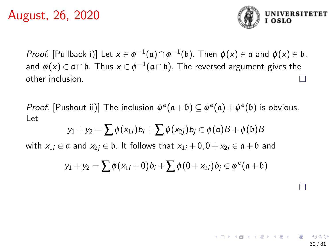

*Proof.* [Pullback i)] Let  $x \in \phi^{-1}(\mathfrak{a}) \cap \phi^{-1}(\mathfrak{b})$ . Then  $\phi(x) \in \mathfrak{a}$  and  $\phi(x) \in \mathfrak{b}$ , and  $\phi(x) \in \mathfrak{a} \cap \mathfrak{b}$ . Thus  $x \in \phi^{-1}(\mathfrak{a} \cap \mathfrak{b})$ . The reversed argument gives the other inclusion.

*Proof.* [Pushout ii)] The inclusion  $\phi^e(\mathfrak{a} + \mathfrak{b}) \subseteq \phi^e(\mathfrak{a}) + \phi^e(\mathfrak{b})$  is obvious. Let

$$
y_1 + y_2 = \sum \phi(x_{1i}) b_i + \sum \phi(x_{2j}) b_j \in \phi(\mathfrak{a})B + \phi(\mathfrak{b})B
$$

with  $x_{1i} \in \mathfrak{a}$  and  $x_{2i} \in \mathfrak{b}$ . It follows that  $x_{1i} + 0, 0 + x_{2i} \in \mathfrak{a} + \mathfrak{b}$  and

$$
y_1 + y_2 = \sum \phi(x_{1i} + 0)b_i + \sum \phi(0 + x_{2i})b_j \in \phi^e(\mathfrak{a} + \mathfrak{b})
$$

30 / 81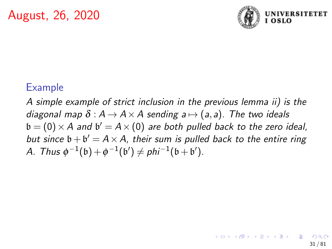

#### Example

A simple example of strict inclusion in the previous lemma ii) is the diagonal map  $\delta : A \rightarrow A \times A$  sending  $a \mapsto (a, a)$ . The two ideals  $\mathfrak{b} = (0) \times A$  and  $\mathfrak{b}' = A \times (0)$  are both pulled back to the zero ideal, but since  $\mathfrak{b} + \mathfrak{b}' = A \times A$ , their sum is pulled back to the entire ring A. Thus  $\phi^{-1}(\mathfrak{b}) + \phi^{-1}(\mathfrak{b}') \neq phi^{-1}(\mathfrak{b} + \mathfrak{b}')$ .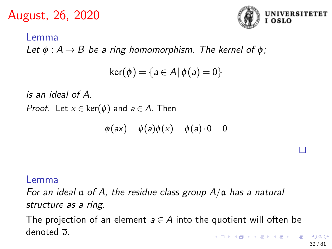

# Lemma Let  $\phi : A \rightarrow B$  be a ring homomorphism. The kernel of  $\phi$ ;  $\ker(\phi) = \{a \in A | \phi(a) = 0\}$

is an ideal of A.

*Proof.* Let  $x \in \text{ker}(\phi)$  and  $a \in A$ . Then

$$
\phi(ax) = \phi(a)\phi(x) = \phi(a)\cdot 0 = 0
$$

#### Lemma

For an ideal  $\alpha$  of A, the residue class group  $A/\alpha$  has a natural structure as a ring.

The projection of an element  $a \in A$  into the quotient will often be denoted a.  $\mathbf{A} \equiv \mathbf{A} + \mathbf{A} + \mathbf{A} + \mathbf{A} + \mathbf{A} + \mathbf{A} + \mathbf{A} + \mathbf{A} + \mathbf{A} + \mathbf{A} + \mathbf{A} + \mathbf{A} + \mathbf{A} + \mathbf{A} + \mathbf{A} + \mathbf{A} + \mathbf{A} + \mathbf{A} + \mathbf{A} + \mathbf{A} + \mathbf{A} + \mathbf{A} + \mathbf{A} + \mathbf{A} + \mathbf{A} + \mathbf{A} + \mathbf{A} + \mathbf{A} + \mathbf{A} + \mathbf{A} + \math$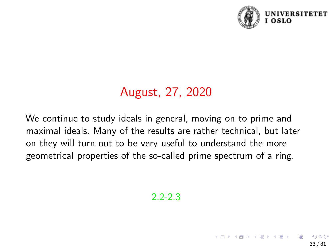

33 / 81

# August, 27, 2020

We continue to study ideals in general, moving on to prime and maximal ideals. Many of the results are rather technical, but later on they will turn out to be very useful to understand the more geometrical properties of the so-called prime spectrum of a ring.

2.2-2.3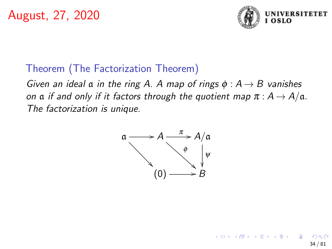

34 / 81

 $\left\{ \begin{array}{ccc} 1 & 0 & 0 \\ 0 & 1 & 0 \end{array} \right.$ 

## Theorem (The Factorization Theorem)

Given an ideal  $\alpha$  in the ring A. A map of rings  $\phi : A \rightarrow B$  vanishes on a if and only if it factors through the quotient map  $\pi : A \to A/a$ . The factorization is unique.

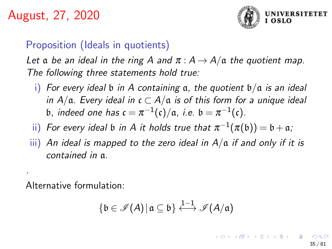

#### Proposition (Ideals in quotients)

Let a be an ideal in the ring A and  $\pi$  :  $A \rightarrow A/a$  the quotient map. The following three statements hold true:

- i) For every ideal  $\mathfrak b$  in A containing  $\mathfrak a$ , the quotient  $\mathfrak b/\mathfrak a$  is an ideal in  $A/\mathfrak{a}$ . Every ideal in  $\mathfrak{c} \subset A/\mathfrak{a}$  is of this form for a unique ideal b, indeed one has  $\mathfrak{c} = \pi^{-1}(\mathfrak{c})/\mathfrak{a}$ , i.e.  $\mathfrak{b} = \pi^{-1}(\mathfrak{c})$ .
- ii) For every ideal  $\mathfrak b$  in  $A$  it holds true that  $\pi^{-1}(\pi(\mathfrak b))=\mathfrak b+\mathfrak a;$
- iii) An ideal is mapped to the zero ideal in  $A/\alpha$  if and only if it is contained in a.

Alternative formulation:

.

$$
\{\mathfrak{b}\in\mathscr{I}(A)\,|\,\mathfrak{a}\subseteq\mathfrak{b}\}\overset{1-1}{\longleftrightarrow}\mathscr{I}(A/\mathfrak{a})
$$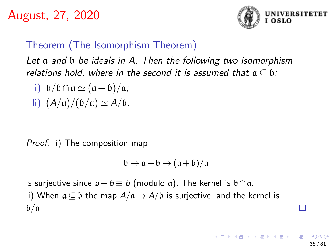

#### Theorem (The Isomorphism Theorem)

Let a and b be ideals in A. Then the following two isomorphism relations hold, where in the second it is assumed that  $a \subseteq b$ :

i)  $b/b \cap a \simeq (a+b)/a;$ li)  $(A/a)/(b/a) \simeq A/b$ .

Proof. i) The composition map

$$
\mathfrak{b}\to\mathfrak{a}+\mathfrak{b}\to(\mathfrak{a}+\mathfrak{b})/\mathfrak{a}
$$

is surjective since  $a+b \equiv b \pmod{a}$ . The kernel is  $b \cap a$ . ii) When  $a \subseteq b$  the map  $A/a \rightarrow A/b$  is surjective, and the kernel is  $b/a$ .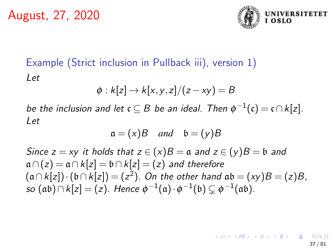

# Example (Strict inclusion in Pullback iii), version 1) Let

$$
\phi: k[z] \to k[x, y, z]/(z-xy) = B
$$

be the inclusion and let  $\mathfrak{c} \subseteq B$  be an ideal. Then  $\phi^{-1}(\mathfrak{c}) = \mathfrak{c} \cap k[z].$ Let

$$
\mathfrak{a} = (x)B \quad and \quad \mathfrak{b} = (y)B
$$

Since  $z = xy$  it holds that  $z \in (x)B = \mathfrak{a}$  and  $z \in (y)B = \mathfrak{b}$  and  $a \cap (z) = a \cap k[z] = b \cap k[z] = (z)$  and therefore  $(a \cap k[z]) \cdot (b \cap k[z]) = (z^2)$ . On the other hand  $ab = (xy)B = (z)B$ , so  $(\mathfrak{a}\mathfrak{b}) \cap k[z] = (z).$  Hence  $\phi^{-1}(\mathfrak{a}) \cdot \phi^{-1}(\mathfrak{b}) \subsetneq \phi^{-1}(\mathfrak{a}\mathfrak{b}).$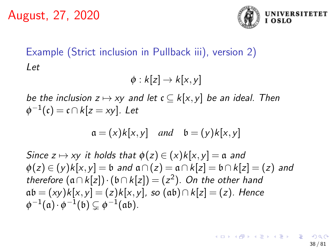

# Example (Strict inclusion in Pullback iii), version 2) Let

$$
\phi: k[z] \to k[x,y]
$$

be the inclusion  $z \mapsto xy$  and let  $c \subseteq k[x,y]$  be an ideal. Then  $\phi^{-1}(\mathfrak{c}) = \mathfrak{c} \cap k[z = xy]$ . Let

$$
\mathfrak{a} = (x)k[x, y] \quad and \quad \mathfrak{b} = (y)k[x, y]
$$

Since  $z \mapsto xy$  it holds that  $\phi(z) \in (x)k[x,y] = \mathfrak{a}$  and  $\phi(z) \in (y)k[x, y] = \mathfrak{b}$  and  $\mathfrak{a} \cap (z) = \mathfrak{a} \cap k[z] = \mathfrak{b} \cap k[z] = (z)$  and therefore  $(a \cap k[z]) \cdot (b \cap k[z]) = (z^2)$ . On the other hand  $ab = (xy)k[x, y] = (z)k[x, y]$ , so  $(ab) \cap k[z] = (z)$ . Hence  $\phi^{-1}(\mathfrak{a}) \cdot \phi^{-1}(\mathfrak{b}) \subsetneq \phi^{-1}(\mathfrak{a}\mathfrak{b}).$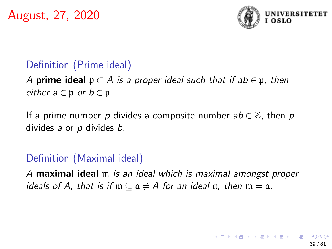

# Definition (Prime ideal)

## A **prime ideal**  $p \subset A$  is a proper ideal such that if ab  $\in$  p, then either  $a \in \mathfrak{p}$  or  $b \in \mathfrak{p}$ .

If a prime number p divides a composite number  $ab \in \mathbb{Z}$ , then p divides a or p divides b.

### Definition (Maximal ideal)

A maximal ideal m is an ideal which is maximal amongst proper ideals of A, that is if  $m \subseteq a \neq A$  for an ideal a, then  $m = a$ .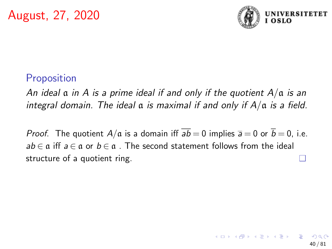

#### **Proposition**

An ideal  $\alpha$  in A is a prime ideal if and only if the quotient  $A/\alpha$  is an integral domain. The ideal  $\alpha$  is maximal if and only if  $A/\alpha$  is a field.

*Proof.* The quotient  $A/\mathfrak{a}$  is a domain iff  $\overline{ab} = 0$  implies  $\overline{a} = 0$  or  $\overline{b} = 0$ , i.e.  $ab \in \mathfrak{a}$  iff  $a \in \mathfrak{a}$  or  $b \in \mathfrak{a}$ . The second statement follows from the ideal structure of a quotient ring.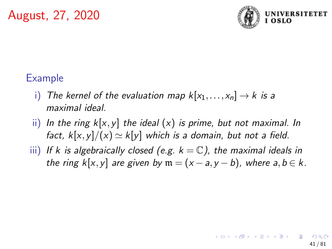

# Example

- i) The kernel of the evaluation map  $k[x_1,...,x_n] \rightarrow k$  is a maximal ideal.
- ii) In the ring  $k[x, y]$  the ideal  $(x)$  is prime, but not maximal. In fact,  $k[x,y]/(x) \simeq k[y]$  which is a domain, but not a field.
- iii) If k is algebraically closed (e.g.  $k = \mathbb{C}$ ), the maximal ideals in the ring k[x, y] are given by  $m = (x - a, y - b)$ , where  $a, b \in k$ .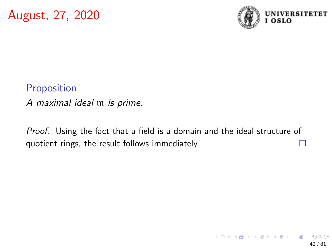

### Proposition

A maximal ideal m is prime.

Proof. Using the fact that a field is a domain and the ideal structure of quotient rings, the result follows immediately.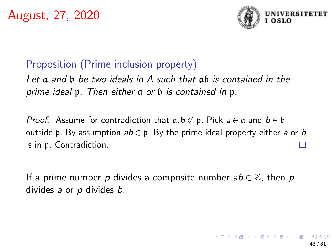

### Proposition (Prime inclusion property)

Let a and b be two ideals in A such that ab is contained in the prime ideal p. Then either a or b is contained in p.

*Proof.* Assume for contradiction that  $a, b \not\subset p$ . Pick  $a \in a$  and  $b \in b$ outside p. By assumption  $ab \in \mathfrak{p}$ . By the prime ideal property either a or b is in p. Contradiction.

If a prime number p divides a composite number  $ab \in \mathbb{Z}$ , then p divides a or p divides b.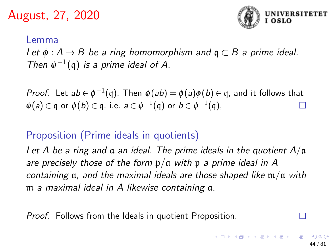

44 / 81

#### Lemma

Let  $\phi : A \rightarrow B$  be a ring homomorphism and  $\mathfrak{q} \subset B$  a prime ideal. Then  $\phi^{-1}(\mathfrak{q})$  is a prime ideal of A.

*Proof.* Let  $ab \in \phi^{-1}(\mathfrak{q})$ . Then  $\phi(ab) = \phi(a)\phi(b) \in \mathfrak{q}$ , and it follows that  $\phi(\mathsf{a})\in\mathfrak{q}$  or  $\phi(\mathsf{b})\in\mathfrak{q}$ , i.e.  $\mathsf{a}\in\phi^{-1}(\mathfrak{q})$  or  $\mathsf{b}\in\phi^{-1}(\mathfrak{q})$ ,

# Proposition (Prime ideals in quotients)

Let A be a ring and  $\alpha$  an ideal. The prime ideals in the quotient  $A/\alpha$ are precisely those of the form  $p/a$  with p a prime ideal in A containing  $a$ , and the maximal ideals are those shaped like  $m/a$  with m a maximal ideal in A likewise containing a.

Proof. Follows from the Ideals in quotient Proposition.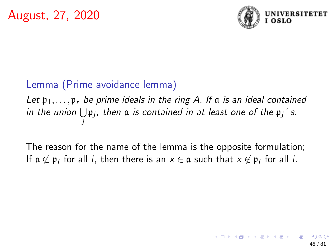

# Lemma (Prime avoidance lemma)

Let  $\mathfrak{p}_1,\ldots,\mathfrak{p}_r$  be prime ideals in the ring A. If a is an ideal contained in the union  $\bigcup \mathfrak{p}_j$ , then  $\mathfrak a$  is contained in at least one of the  $\mathfrak{p}_j$ ' s. j

The reason for the name of the lemma is the opposite formulation; If  $\mathfrak{a}\not\subset\mathfrak{p}_i$  for all  $i$ , then there is an  $x\in\mathfrak{a}$  such that  $x\not\in\mathfrak{p}_i$  for all  $i.$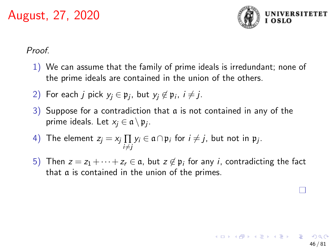

#### Proof.

- 1) We can assume that the family of prime ideals is irredundant; none of the prime ideals are contained in the union of the others.
- 2) For each  $j$  pick  $y_j \in \mathfrak{p}_j$ , but  $y_j \not\in \mathfrak{p}_i$ ,  $i \neq j$ .
- 3) Suppose for a contradiction that a is not contained in any of the prime ideals. Let  $x_j \in \mathfrak{a} \setminus \mathfrak{p}_j$ .
- 4) The element  $z_j = x_j \prod_j y_i \in \mathfrak{a} \cap \mathfrak{p}_i$  for  $i \neq j$ , but not in  $\mathfrak{p}_j$ . i≠j
- 5) Then  $z = z_1 + \cdots + z_r \in \mathfrak{a}$ , but  $z \not\in \mathfrak{p}_i$  for any *i*, contradicting the fact that a is contained in the union of the primes.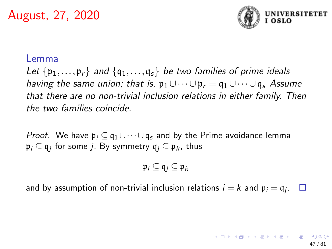

#### Lemma

Let  $\{p_1,\ldots,p_r\}$  and  $\{q_1,\ldots,q_s\}$  be two families of prime ideals having the same union; that is,  $p_1 \cup \cdots \cup p_r = q_1 \cup \cdots \cup q_s$  Assume that there are no non-trivial inclusion relations in either family. Then the two families coincide.

*Proof.* We have  $\mathfrak{p}_i \subset \mathfrak{q}_1 \cup \cdots \cup \mathfrak{q}_s$  and by the Prime avoidance lemma  $\mathfrak{p}_i\subseteq\mathfrak{q}_j$  for some  $j.$  By symmetry  $\mathfrak{q}_j\subseteq\mathfrak{p}_k$ , thus

$$
\mathfrak{p}_i \subseteq \mathfrak{q}_j \subseteq \mathfrak{p}_k
$$

and by assumption of non-trivial inclusion relations  $i = k$  and  $\mathfrak{p}_i = \mathfrak{q}_j$ .  $\Box$ 

> 47 / 81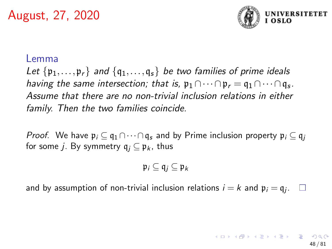

#### Lemma

Let  $\{p_1,\ldots,p_r\}$  and  $\{q_1,\ldots,q_s\}$  be two families of prime ideals having the same intersection; that is,  $\mathfrak{p}_1 \cap \cdots \cap \mathfrak{p}_r = \mathfrak{q}_1 \cap \cdots \cap \mathfrak{q}_s$ . Assume that there are no non-trivial inclusion relations in either family. Then the two families coincide.

*Proof.* We have  $\mathfrak{p}_i \subseteq \mathfrak{q}_1 \cap \cdots \cap \mathfrak{q}_s$  and by Prime inclusion property  $\mathfrak{p}_i \subseteq \mathfrak{q}_i$ for some *j*. By symmetry  $q_i \nsubseteq p_k$ , thus

$$
\mathfrak{p}_i \subseteq \mathfrak{q}_j \subseteq \mathfrak{p}_k
$$

and by assumption of non-trivial inclusion relations  $i = k$  and  $\mathfrak{p}_i = \mathfrak{q}_j$ .  $\Box$ 

> 48 / 81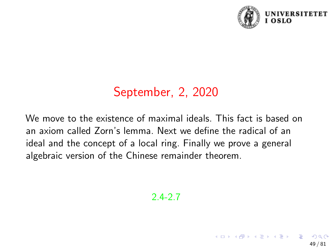

49 / 81

# September, 2, 2020

We move to the existence of maximal ideals. This fact is based on an axiom called Zorn's lemma. Next we define the radical of an ideal and the concept of a local ring. Finally we prove a general algebraic version of the Chinese remainder theorem.

#### 2.4-2.7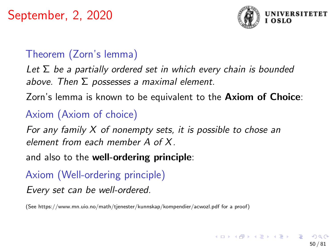

# Theorem (Zorn's lemma)

Let  $\Sigma$  be a partially ordered set in which every chain is bounded above. Then  $\Sigma$  possesses a maximal element.

Zorn's lemma is known to be equivalent to the Axiom of Choice:

## Axiom (Axiom of choice)

For any family  $X$  of nonempty sets, it is possible to chose an element from each member A of X.

and also to the well-ordering principle:

# Axiom (Well-ordering principle)

Every set can be well-ordered.

(See https://www.mn.uio.no/math/tjenester/kunnskap/kompendier/acwozl.pdf for a proof)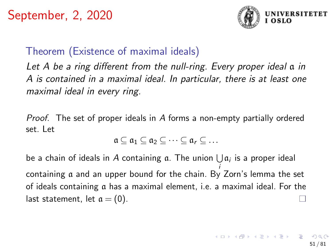

# Theorem (Existence of maximal ideals)

Let A be a ring different from the null-ring. Every proper ideal  $\alpha$  in A is contained in a maximal ideal. In particular, there is at least one maximal ideal in every ring.

Proof. The set of proper ideals in A forms a non-empty partially ordered set. Let

$$
\mathfrak{a} \subseteq \mathfrak{a}_1 \subseteq \mathfrak{a}_2 \subseteq \cdots \subseteq \mathfrak{a}_r \subseteq \ldots
$$

be a chain of ideals in A containing  $\mathfrak a$ . The union  $\bigcup \mathfrak a_i$  is a proper ideal i containing a and an upper bound for the chain. By Zorn's lemma the set of ideals containing a has a maximal element, i.e. a maximal ideal. For the last statement, let  $\alpha = (0)$ .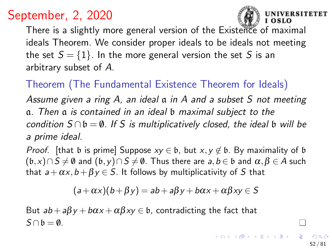

I OSLO

52 / 81

 $\Omega$ 

**SITETET** 

There is a slightly more general version of the Existence of maximal ideals Theorem. We consider proper ideals to be ideals not meeting the set  $S = \{1\}$ . In the more general version the set S is an arbitrary subset of A.

Theorem (The Fundamental Existence Theorem for Ideals)

Assume given a ring A, an ideal a in A and a subset S not meeting a. Then a is contained in an ideal b maximal subject to the condition  $S \cap b = \emptyset$ . If S is multiplicatively closed, the ideal b will be a prime ideal.

*Proof.* [that b is prime] Suppose  $xy \in \mathfrak{b}$ , but  $x, y \notin \mathfrak{b}$ . By maximality of b  $(b,x)\cap S\neq \emptyset$  and  $(b,y)\cap S\neq \emptyset$ . Thus there are  $a,b\in \mathfrak{b}$  and  $\alpha,\beta\in A$  such that  $a + \alpha x$ ,  $b + \beta y \in S$ . It follows by multiplicativity of S that

$$
(a+\alpha x)(b+\beta y) = ab + a\beta y + b\alpha x + \alpha \beta xy \in S
$$

But  $ab + a\beta y + b\alpha x + \alpha\beta xy \in b$ , contradicting the fact that  $S \cap \mathfrak{h} = \emptyset$ .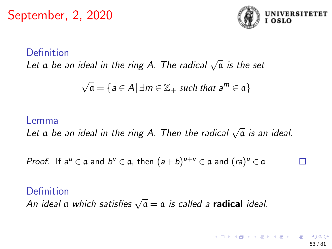

#### Definition

 $L$ et α be an ideal in the ring A. The radical  $\sqrt{α}$  is the set

$$
\sqrt{\mathfrak{a}} = \{ a \in A \, | \, \exists m \in \mathbb{Z}_+ \text{ such that } a^m \in \mathfrak{a} \}
$$

#### Lemma

Let  $\mathfrak a$  be an ideal in the ring A. Then the radical  $\sqrt{\mathfrak a}$  is an ideal.

Proof. If  $a^u \in \mathfrak{a}$  and  $b^v \in \mathfrak{a}$ , then  $(a+b)^{u+v} \in \mathfrak{a}$  and  $(ra)^u \in \mathfrak{a}$ 

#### Definition

Demmuon<br>An ideal α which satisfies  $\sqrt{\mathfrak{a}} = \mathfrak{a}$  is called a **radical** ideal.

53 / 81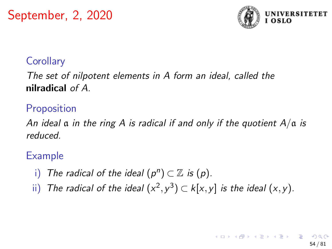

#### **Corollary**

The set of nilpotent elements in A form an ideal, called the nilradical of A.

# **Proposition**

An ideal  $\alpha$  in the ring A is radical if and only if the quotient  $A/\alpha$  is reduced.

### Example

- i) The radical of the ideal  $(p^n) \subset \mathbb{Z}$  is  $(p)$ .
- ii) The radical of the ideal  $(x^2, y^3) \subset k[x, y]$  is the ideal  $(x, y)$ .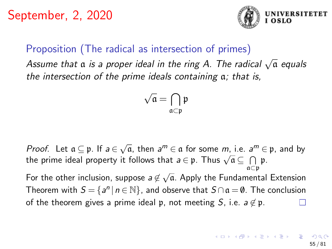

#### Proposition (The radical as intersection of primes)

Assume that  $\alpha$  is a proper ideal in the ring A. The radical  $\sqrt{\alpha}$  equals the intersection of the prime ideals containing a; that is,

$$
\sqrt{\mathfrak{a}}=\bigcap_{\mathfrak{a}\subset\mathfrak{p}}\mathfrak{p}
$$

*Proof.* Let  $a \subseteq p$ . If  $a \in \sqrt{a}$ , then  $a^m \in a$  for some  $m$ , i.e.  $a^m \in p$ , and by the prime ideal property it follows that  $a \in \mathfrak{p}$ . Thus  $\sqrt{a} \subseteq \bigcap \mathfrak{p}$ .<br>the prime ideal property it follows that  $a \in \mathfrak{p}$ . Thus  $\sqrt{a} \subseteq \bigcap \mathfrak{p}$ . a⊂p For the other inclusion, suppose  $a \not\in \sqrt{a}$ . Apply the Fundamental Extension Theorem with  $S = \{a^n | n \in \mathbb{N}\}\$ , and observe that  $S \cap a = \emptyset$ . The conclusion of the theorem gives a prime ideal p, not meeting S, i.e.  $a \notin \mathfrak{p}$ .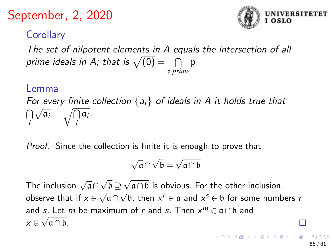

# **Corollary**

The set of nilpotent elements in A equals the intersection of all prime ideals in A; that is  $\sqrt{(0)} = \begin{array}{ccc} \cap & \mathfrak{p} \end{array}$ p *prime*

#### Lemma

For every finite collection  $\{a_i\}$  of ideals in A it holds true that ⋂ i  $\sqrt{\mathfrak{a}_i} = \sqrt{\mathfrak{a}}$  $\bigcap_{i} \mathfrak{a}_i.$ 

Proof. Since the collection is finite it is enough to prove that

$$
\sqrt{\mathfrak{a}} \cap \sqrt{\mathfrak{b}} = \sqrt{\mathfrak{a} \cap \mathfrak{b}}
$$

The inclusion  $\sqrt{a} \cap$ √ b ⊇ √  $\frac{\partial}{\partial \theta} \sqrt{\mathfrak{a} \cap \mathfrak{b}}$  is obvious. For the other inclusion, observe that if  $x \in \sqrt{a} \cap \sqrt{b}$ , then  $x^r \in a$  and  $x^s \in b$  for some numbers *r* and s. Let m be maximum of r and s. Then  $x^m \in \mathfrak{a} \cap \mathfrak{b}$  and  $x \in \sqrt{\mathfrak{a} \cap \mathfrak{b}}$ .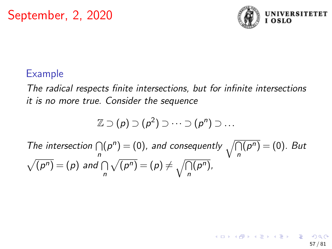

57 / 81

K ロ > K @ > K 경 > K 경 > 시 경

#### Example

The radical respects finite intersections, but for infinite intersections it is no more true. Consider the sequence

$$
\mathbb{Z} \supset (\rho) \supset (\rho^2) \supset \cdots \supset (\rho^n) \supset \ldots
$$

The intersection  $\bigcap$ n  $(p^n)=(0)$ , and consequently  $\sqrt{\bigcap}$ n  $\overline{(p^n)} = (0)$ . But  $\sqrt{(p^n)} = (p)$  and  $\cap$ n  $\sqrt{(p^n)} = (p) \neq \sqrt{\cap}$ n  $(p^n),$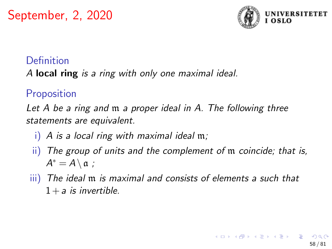

#### Definition

A local ring is a ring with only one maximal ideal.

# **Proposition**

Let A be a ring and m a proper ideal in A. The following three statements are equivalent.

- i) A is a local ring with maximal ideal  $m$ .
- ii) The group of units and the complement of m coincide; that is,  $A^* = A \setminus \mathfrak{a}$ ;
- iii) The ideal m is maximal and consists of elements a such that  $1 + a$  is invertible.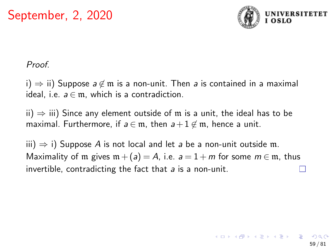

#### Proof.

i)  $\Rightarrow$  ii) Suppose  $a \notin \mathfrak{m}$  is a non-unit. Then a is contained in a maximal ideal, i.e.  $a \in \mathfrak{m}$ , which is a contradiction.

ii)  $\Rightarrow$  iii) Since any element outside of m is a unit, the ideal has to be maximal. Furthermore, if  $a \in \mathfrak{m}$ , then  $a+1 \notin \mathfrak{m}$ , hence a unit.

iii)  $\Rightarrow$  i) Suppose A is not local and let a be a non-unit outside m. Maximality of m gives  $m + (a) = A$ , i.e.  $a = 1 + m$  for some  $m \in \mathfrak{m}$ , thus invertible, contradicting the fact that a is a non-unit.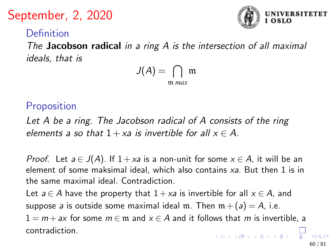# Definition

The Jacobson radical in a ring  $A$  is the intersection of all maximal ideals, that is

$$
J(A)=\bigcap_{\mathfrak{m} \text{ max}} \mathfrak{m}
$$

### Proposition

Let A be a ring. The Jacobson radical of A consists of the ring elements a so that  $1 + xa$  is invertible for all  $x \in A$ .

*Proof.* Let  $a \in J(A)$ . If  $1 + xa$  is a non-unit for some  $x \in A$ , it will be an element of some maksimal ideal, which also contains  $xa$ . But then 1 is in the same maximal ideal. Contradiction.

Let  $a \in A$  have the property that  $1 + xa$  is invertible for all  $x \in A$ , and suppose a is outside some maximal ideal m. Then  $m + (a) = A$ , i.e.  $1 = m + ax$  for some  $m \in \mathfrak{m}$  and  $x \in A$  and it follows that m is invertible, a

contradiction.



60 / 81

 $\overline{AB}$   $\overline{AB}$   $\overline{AB}$   $\overline{AB}$   $\overline{AB}$   $\overline{BA}$   $\overline{AB}$   $\overline{BA}$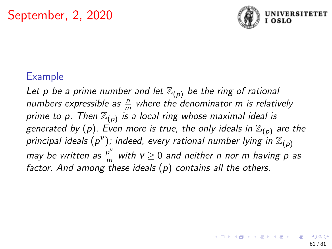

#### Example

Let p be a prime number and let  $\mathbb{Z}_{(p)}$  be the ring of rational numbers expressible as  $\frac{n}{m}$  where the denominator m is relatively prime to p. Then  $\mathbb{Z}_{(p)}$  is a local ring whose maximal ideal is generated by (p). Even more is true, the only ideals in  $\mathbb{Z}_{(p)}$  are the principal ideals (p<sup>v</sup>); indeed, every rational number lying in  $\mathbb{Z}_{(p)}$ may be written as  $\frac{p^v}{m}$  $\frac{p}{m}$  with  $v \ge 0$  and neither n nor m having p as factor. And among these ideals  $(p)$  contains all the others.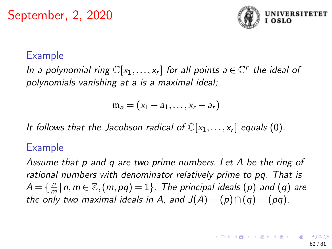

#### Example

In a polynomial ring  $\mathbb{C}[x_1,\ldots,x_r]$  for all points  $a \in \mathbb{C}^r$  the ideal of polynomials vanishing at a is a maximal ideal;

$$
\mathfrak{m}_a = (x_1 - a_1, \ldots, x_r - a_r)
$$

It follows that the Jacobson radical of  $\mathbb{C}[x_1,\ldots,x_r]$  equals (0).

#### Example

Assume that p and q are two prime numbers. Let A be the ring of rational numbers with denominator relatively prime to pq. That is  $A = \left\{\frac{n}{n}\right\}$  $\frac{n}{m}\,|\,n,m\in\mathbb{Z},(m,pq)=1\}$ . The principal ideals  $(p)$  and  $(q)$  are the only two maximal ideals in A, and  $J(A) = (p) \cap (q) = (pq)$ .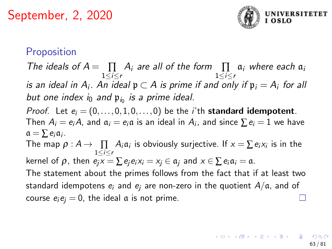

#### Proposition

The ideals of  $A = \prod_{1 \leq i \leq r} A_i$  are all of the form  $\prod_{1 \leq i \leq r} a_i$  where each  $a_i$ is an ideal in  $A_i$ . An ideal  $\mathfrak{p} \subset A$  is prime if and only if  $\mathfrak{p}_i = A_i$  for all but one index  $i_0$  and  $\mathfrak{p}_{i_0}$  is a prime ideal.

*Proof.* Let  $e_i = (0, \ldots, 0, 1, 0, \ldots, 0)$  be the *i*'th **standard idempotent**. Then  $A_i = e_i A$ , and  $a_i = e_i a$  is an ideal in  $A_i$ , and since  $\sum e_i = 1$  we have  $a = \sum e_i a_i$ .

The map  $\rho: A \to \prod\limits_{1 \leq i \leq r} A_i \mathfrak{a}_i$  is obviously surjective. If  $x = \sum e_i x_i$  is in the kernel of  $\rho$ , then  $e_i x = \sum e_i e_i x_i = x_i \in \mathfrak{a}_i$  and  $x \in \sum e_i \mathfrak{a}_i = \mathfrak{a}$ . The statement about the primes follows from the fact that if at least two

standard idempotens  $e_i$  and  $e_i$  are non-zero in the quotient  $A/a$ , and of course  $e_i e_j = 0$ , the ideal a is not prime.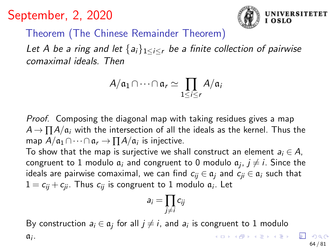

Theorem (The Chinese Remainder Theorem)

Let A be a ring and let  $\{a_i\}_{1\leq i\leq r}$  be a finite collection of pairwise comaximal ideals. Then

$$
A/\mathfrak{a}_1\cap\cdots\cap\mathfrak{a}_r\simeq\prod_{1\leq i\leq r}A/\mathfrak{a}_i
$$

Proof. Composing the diagonal map with taking residues gives a map  $A \rightarrow \prod A/a_i$  with the intersection of all the ideals as the kernel. Thus the map  $A/\mathfrak{a}_1 \cap \cdots \cap \mathfrak{a}_r \to \prod A/\mathfrak{a}_i$  is injective.

To show that the map is surjective we shall construct an element  $a_i \in A$ , congruent to  $1$  modulo  $\mathfrak{a}_i$  and congruent to  $0$  modulo  $\mathfrak{a}_j$ ,  $j\neq i.$  Since the ideals are pairwise comaximal, we can find  $c_{ii} \in \mathfrak{a}_i$  and  $c_{ii} \in \mathfrak{a}_i$  such that  $1 = c_{ij} + c_{ji}$ . Thus  $c_{ij}$  is congruent to  $1$  modulo  $\mathfrak{a}_i$ . Let

$$
a_i=\prod_{j\neq i}c_{ij}
$$

By construction  $a_i \in \mathfrak{a}_j$  for all  $j \neq i,$  and  $a_i$  is congruent to  $1$  modulo  $\mathfrak{a}_i$ .  $\mathbf{A} \equiv \mathbf{A} + \mathbf{A} \pmod{2} \mathbf{A} + \mathbf{A} \equiv \mathbf{A} + \mathbf{A} \equiv \mathbf{A} + \mathbf{A}$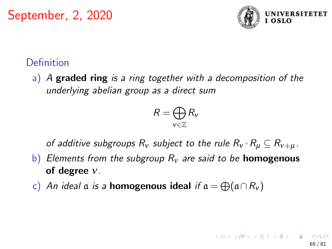

## **Definition**

a) A graded ring is a ring together with a decomposition of the underlying abelian group as a direct sum

$$
R=\bigoplus_{v\in\mathbb{Z}}R_v
$$

of additive subgroups  $R_v$  subject to the rule  $R_v \cdot R_u \subseteq R_{v+u}$ .

- b) Elements from the subgroup  $R<sub>v</sub>$  are said to be **homogenous** of degree ν.
- c) An ideal  $\mathfrak a$  is a **homogenous ideal** if  $\mathfrak a = \bigoplus(\mathfrak a \cap R_{\mathcal V})$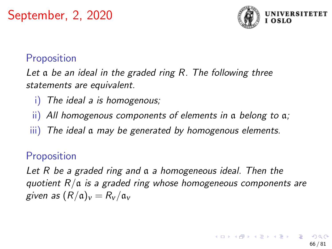

## Proposition

Let a be an ideal in the graded ring R. The following three statements are equivalent.

- The ideal a is homogenous;
- ii) All homogenous components of elements in a belong to a;
- iii) The ideal a may be generated by homogenous elements.

### Proposition

Let R be a graded ring and  $\alpha$  a homogeneous ideal. Then the quotient  $R/a$  is a graded ring whose homogeneous components are given as  $(R/a)_v = R_v/a_v$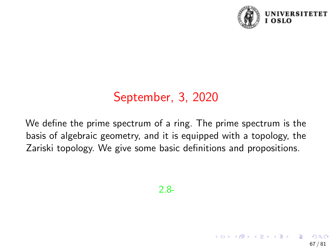

67 / 81

イロト 不優 トメ 差 トメ 差 トー 差

# September, 3, 2020

We define the prime spectrum of a ring. The prime spectrum is the basis of algebraic geometry, and it is equipped with a topology, the Zariski topology. We give some basic definitions and propositions.

2.8-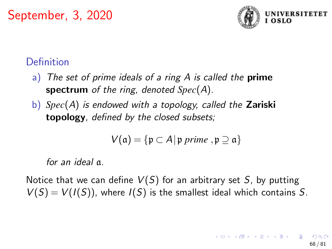

# **Definition**

- a) The set of prime ideals of a ring  $A$  is called the **prime** spectrum of the ring, denoted *Spec*(A).
- b) *Spec*(A) is endowed with a topology, called the Zariski topology, defined by the closed subsets;

$$
V(\mathfrak{a}) = \{ \mathfrak{p} \subset A \, | \, \mathfrak{p} \text{ prime }, \mathfrak{p} \supseteq \mathfrak{a} \}
$$

for an ideal a.

Notice that we can define  $V(S)$  for an arbitrary set S, by putting  $V(S) = V(I(S))$ , where  $I(S)$  is the smallest ideal which contains S.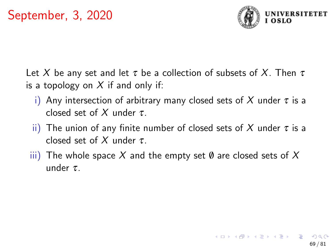

Let X be any set and let  $\tau$  be a collection of subsets of X. Then  $\tau$ is a topology on  $X$  if and only if:

- i) Any intersection of arbitrary many closed sets of X under  $\tau$  is a closed set of X under  $\tau$ .
- ii) The union of any finite number of closed sets of X under  $\tau$  is a closed set of X under  $\tau$ .
- $\overline{iii}$ ) The whole space X and the empty set  $\emptyset$  are closed sets of X under  $\tau$ .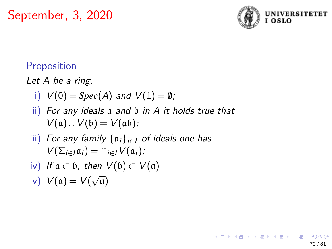

70 / 81

K ロ > K 個 > K 경 > K 경 > 시 경

# Proposition

Let A be a ring.

- i)  $V(0) = Spec(A)$  and  $V(1) = \emptyset$ ;
- ii) For any ideals a and b in A it holds true that  $V(a) \cup V(b) = V(ab)$ ;
- iii) For any family  $\{\mathfrak{a}_i\}_{i\in I}$  of ideals one has  $V(\Sigma_{i\in I}\mathfrak{a}_i)=\bigcap_{i\in I}V(\mathfrak{a}_i);$
- iv) If  $a \subset b$ , then  $V(b) \subset V(a)$
- v)  $V(a) = V(a)$ √ a)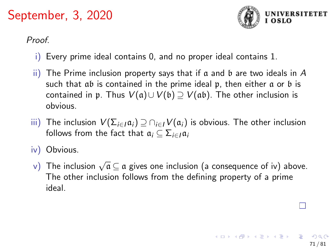

71 / 81

Proof.

- i) Every prime ideal contains 0, and no proper ideal contains 1.
- ii) The Prime inclusion property says that if a and b are two ideals in A such that ab is contained in the prime ideal p, then either a or b is contained in p. Thus  $V(a) \cup V(b) \supseteq V(ab)$ . The other inclusion is obvious.
- iii) The inclusion  $V(\Sigma_{i\in I}\mathfrak{a}_i) \supseteq \bigcap_{i\in I} V(\mathfrak{a}_i)$  is obvious. The other inclusion follows from the fact that  $a_i \subseteq \sum_{i \in I} a_i$
- iv) Obvious.
- v) The inclusion  $\sqrt{\mathfrak{a}}\subseteq \mathfrak{a}$  gives one inclusion (a consequence of iv) above. The other inclusion follows from the defining property of a prime ideal.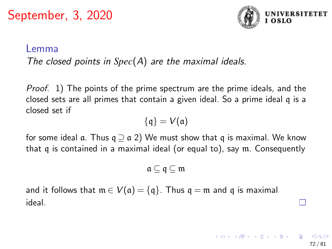

72 / 81

#### Lemma

#### The closed points in *Spec*(A) are the maximal ideals.

Proof. 1) The points of the prime spectrum are the prime ideals, and the closed sets are all primes that contain a given ideal. So a prime ideal q is a closed set if

$$
\{\mathfrak{q}\}=V(\mathfrak{a})
$$

for some ideal  $\alpha$ . Thus  $q \supset \alpha$  2) We must show that q is maximal. We know that q is contained in a maximal ideal (or equal to), say m. Consequently

$$
\mathfrak{a} \subseteq \mathfrak{q} \subseteq \mathfrak{m}
$$

and it follows that  $m \in V(\mathfrak{a}) = \{\mathfrak{q}\}\.$  Thus  $\mathfrak{q} = \mathfrak{m}$  and  $\mathfrak{q}$  is maximal ideal.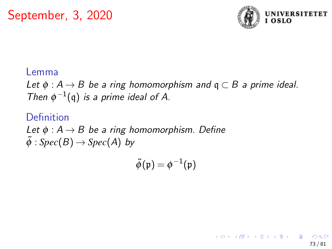

73 / 81

K ロ > K @ > K 경 > K 경 > 시 경

#### Lemma

Let  $\phi : A \rightarrow B$  be a ring homomorphism and  $\mathfrak{q} \subset B$  a prime ideal. Then  $\phi^{-1}(\mathfrak{q})$  is a prime ideal of A.

### Definition

Let  $\phi : A \rightarrow B$  be a ring homomorphism. Define  $\tilde{\phi}: Spec(B) \rightarrow Spec(A)$  by

 $\widetilde{\phi}(\mathfrak{p})=\phi^{-1}(\mathfrak{p})$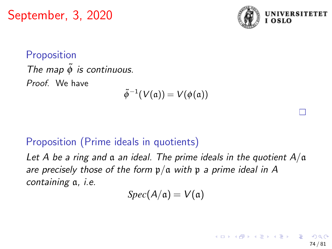

П

74 / 81

 $A \equiv \begin{pmatrix} 1 & 0 & 0 \\ 0 & 1 & 0 \\ 0 & 0 & 0 \end{pmatrix} \in A \Rightarrow A \equiv \begin{pmatrix} 1 & 0 & 0 \\ 0 & 1 & 0 \\ 0 & 0 & 0 \end{pmatrix} \in A$ 

**Proposition** The map  $\tilde{\phi}$  is continuous. Proof. We have

$$
\tilde{\phi}^{-1}(V(\mathfrak{a}))=V(\phi(\mathfrak{a}))
$$

### Proposition (Prime ideals in quotients)

Let A be a ring and  $\alpha$  an ideal. The prime ideals in the quotient  $A/\alpha$ are precisely those of the form  $p/a$  with p a prime ideal in A containing a, i.e.

 $Spec(A/\mathfrak{a})=V(\mathfrak{a})$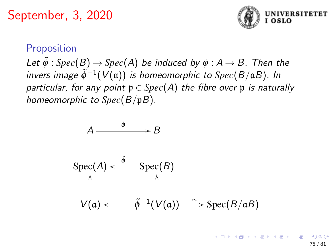

### **Proposition**

Let  $\tilde{\phi}$  : *Spec*(B)  $\rightarrow$  *Spec*(A) be induced by  $\phi$  : A  $\rightarrow$  B. Then the invers image  $\tilde{\phi}^{-1}(V(\mathfrak{a}))$  is homeomorphic to  $Spec(B/\mathfrak{a}B)$ . In particular, for any point  $p \in Spec(A)$  the fibre over p is naturally homeomorphic to *Spec*(B/pB).

$$
A \longrightarrow B
$$
  
\n
$$
Spec(A) \xleftarrow{\tilde{\phi}} Spec(B)
$$
  
\n
$$
\uparrow \qquad \qquad \uparrow
$$
  
\n
$$
V(a) \longleftarrow \tilde{\phi}^{-1}(V(a)) \longrightarrow Spec(B/aB)
$$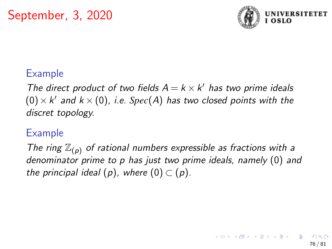

### Example

The direct product of two fields  $A = k \times k'$  has two prime ideals  $(0) \times k'$  and  $k \times (0)$ , i.e. Spec(A) has two closed points with the discret topology.

### Example

The ring  $\mathbb{Z}_{(p)}$  of rational numbers expressible as fractions with a denominator prime to p has just two prime ideals, namely (0) and the principal ideal  $(p)$ , where  $(0) \subset (p)$ .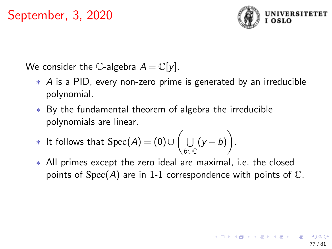

We consider the C-algebra  $A = \mathbb{C}[y]$ .

- ∗ A is a PID, every non-zero prime is generated by an irreducible polynomial.
- ∗ By the fundamental theorem of algebra the irreducible polynomials are linear.

\* It follows that 
$$
Spec(A) = (0) \cup \left( \bigcup_{b \in \mathbb{C}} (y - b) \right)
$$
.

∗ All primes except the zero ideal are maximal, i.e. the closed points of  $Spec(A)$  are in 1-1 correspondence with points of  $\mathbb{C}$ .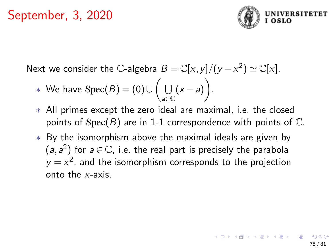

Next we consider the C-algebra  $B = \mathbb{C}[x, y]/(y - x^2) \simeq \mathbb{C}[x]$ .

- $\;\;\ast\;$  We have  $\operatorname{Spec}(B) = (0) \cup \Big( \;\; \bigcup\;$ a∈C  $(x-a)$ .
- ∗ All primes except the zero ideal are maximal, i.e. the closed points of  $Spec(B)$  are in 1-1 correspondence with points of  $\mathbb{C}$ .
- ∗ By the isomorphism above the maximal ideals are given by  $(a, a<sup>2</sup>)$  for  $a \in \mathbb{C}$ , i.e. the real part is precisely the parabola  $y = x^2$ , and the isomorphism corresponds to the projection onto the x-axis.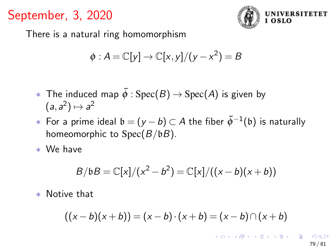

There is a natural ring homomorphism

$$
\phi: A = \mathbb{C}[y] \to \mathbb{C}[x, y]/(y - x^2) = B
$$

- $∗$  The induced map  $\tilde{\phi}$  : Spec(B) → Spec(A) is given by  $(a, a^2) \mapsto a^2$
- $*$  For a prime ideal  $\mathfrak{b}=(y-b)\subset A$  the fiber  $\tilde{\phi}^{-1}(\mathfrak{b})$  is naturally homeomorphic to  $Spec(B/bB)$ .

∗ We have

$$
B/bB = \mathbb{C}[x]/(x^2 - b^2) = \mathbb{C}[x]/((x - b)(x + b))
$$

∗ Notive that

$$
((x - b)(x + b)) = (x - b) \cdot (x + b) = (x - b) \cap (x + b)
$$

イロト 不優 トメ 差 トメ 差 トー 差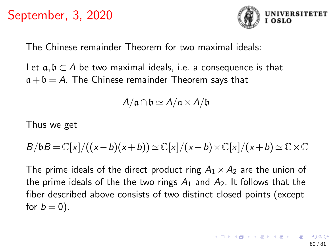

The Chinese remainder Theorem for two maximal ideals:

Let  $a, b \subset A$  be two maximal ideals, i.e. a consequence is that  $a + b = A$ . The Chinese remainder Theorem says that

 $A/\mathfrak{a}\cap\mathfrak{b}\simeq A/\mathfrak{a}\times A/\mathfrak{b}$ 

Thus we get

$$
B/\mathfrak{b}B=\mathbb{C}[x]/((x-b)(x+b))\simeq \mathbb{C}[x]/(x-b)\times \mathbb{C}[x]/(x+b)\simeq \mathbb{C}\times \mathbb{C}
$$

The prime ideals of the direct product ring  $A_1 \times A_2$  are the union of the prime ideals of the the two rings  $A_1$  and  $A_2$ . It follows that the fiber described above consists of two distinct closed points (except for  $b = 0$ ).